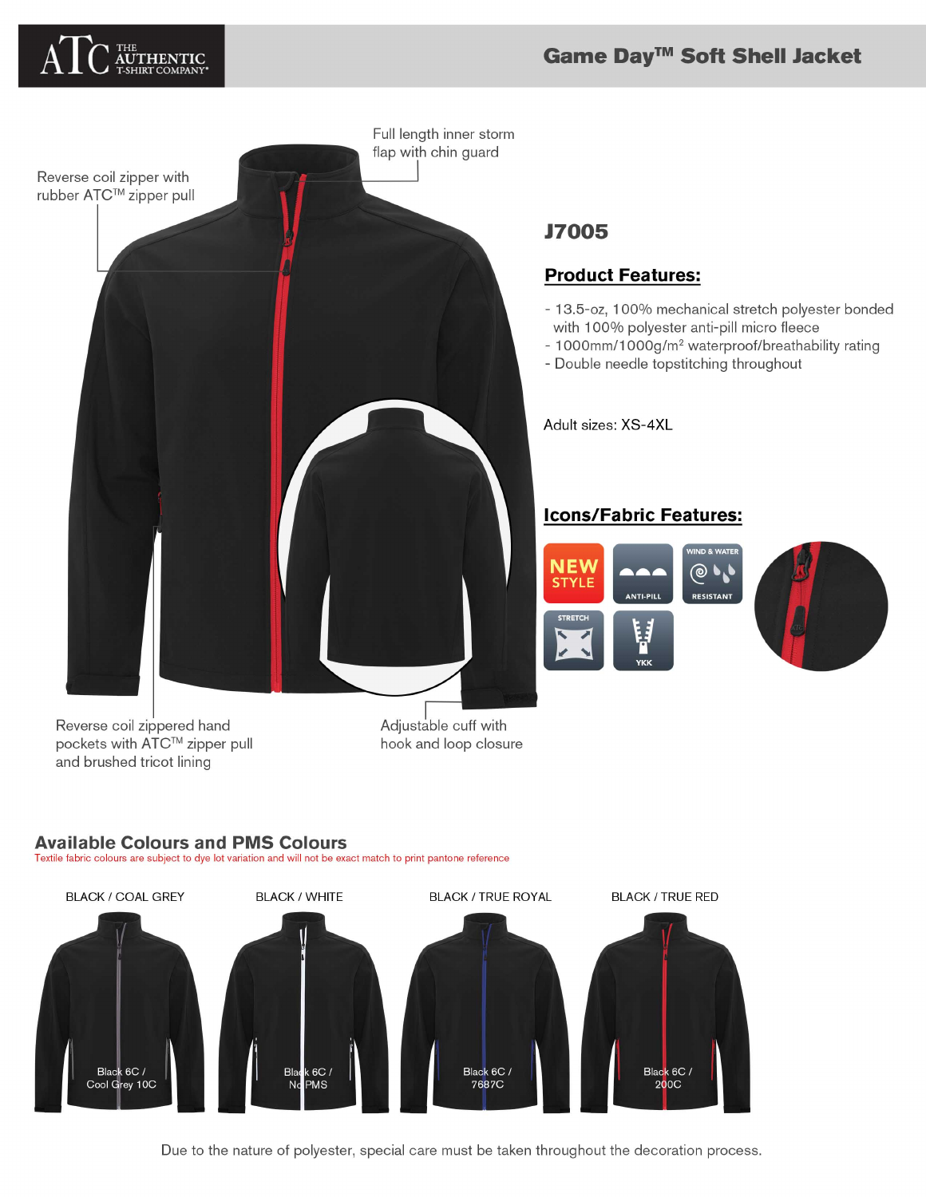# AUTHENTIC

#### Game Day™ Soft Shell Jacket



### **J7005**

#### **Product Features:**

- 13.5-oz, 100% mechanical stretch polyester bonded with 100% polyester anti-pill micro fleece
- 1000mm/1000g/m<sup>2</sup> waterproof/breathability rating
- Double needle topstitching throughout

Adult sizes: XS-4XL

#### **Icons/Fabric Features:**



Reverse coil zippered hand pockets with ATC™ zipper pull and brushed tricot lining

Adjustable cuff with hook and loop closure

#### **Available Colours and PMS Colours**

Textile fabric colours are subject to dye lot variation and will not be exact match to print pantone reference



Due to the nature of polyester, special care must be taken throughout the decoration process.